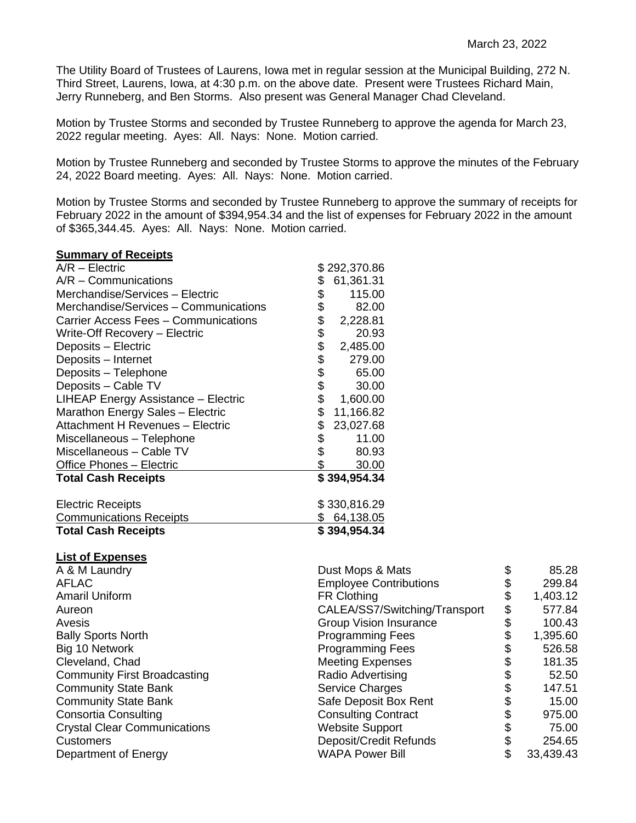The Utility Board of Trustees of Laurens, Iowa met in regular session at the Municipal Building, 272 N. Third Street, Laurens, Iowa, at 4:30 p.m. on the above date. Present were Trustees Richard Main, Jerry Runneberg, and Ben Storms. Also present was General Manager Chad Cleveland.

Motion by Trustee Storms and seconded by Trustee Runneberg to approve the agenda for March 23, 2022 regular meeting. Ayes: All. Nays: None. Motion carried.

Motion by Trustee Runneberg and seconded by Trustee Storms to approve the minutes of the February 24, 2022 Board meeting. Ayes: All. Nays: None. Motion carried.

Motion by Trustee Storms and seconded by Trustee Runneberg to approve the summary of receipts for February 2022 in the amount of \$394,954.34 and the list of expenses for February 2022 in the amount of \$365,344.45. Ayes: All. Nays: None. Motion carried.

## **Summary of Receipts**

| $A/R - Electric$                      |          | \$292,370.86 |
|---------------------------------------|----------|--------------|
| $A/R - \text{Communications}$         | \$       | 61,361.31    |
| Merchandise/Services - Electric       | \$       | 115.00       |
| Merchandise/Services - Communications | \$       | 82.00        |
| Carrier Access Fees - Communications  | \$       | 2,228.81     |
| Write-Off Recovery - Electric         |          | 20.93        |
| Deposits - Electric                   | \$<br>\$ | 2,485.00     |
| Deposits - Internet                   | \$       | 279.00       |
| Deposits - Telephone                  | \$       | 65.00        |
| Deposits - Cable TV                   | \$       | 30.00        |
| LIHEAP Energy Assistance - Electric   | \$       | 1,600.00     |
| Marathon Energy Sales - Electric      | \$       | 11,166.82    |
| Attachment H Revenues - Electric      | \$       | 23,027.68    |
| Miscellaneous - Telephone             | \$       | 11.00        |
| Miscellaneous - Cable TV              | \$       | 80.93        |
| Office Phones - Electric              | \$       | 30.00        |
| <b>Total Cash Receipts</b>            |          | \$394,954.34 |
| <b>Electric Receipts</b>              |          | \$330,816.29 |
| <b>Communications Receipts</b>        |          | \$64,138.05  |
| <b>Total Cash Receipts</b>            |          | \$394,954.34 |

## **List of Expenses**

| A & M Laundry                       | Dust Mops & Mats              | 85.28           |
|-------------------------------------|-------------------------------|-----------------|
| <b>AFLAC</b>                        | <b>Employee Contributions</b> | 299.84          |
| <b>Amaril Uniform</b>               | <b>FR Clothing</b>            | \$<br>1,403.12  |
| Aureon                              | CALEA/SS7/Switching/Transport | \$<br>577.84    |
| Avesis                              | <b>Group Vision Insurance</b> | \$<br>100.43    |
| <b>Bally Sports North</b>           | <b>Programming Fees</b>       | 1,395.60        |
| Big 10 Network                      | <b>Programming Fees</b>       | 526.58          |
| Cleveland, Chad                     | <b>Meeting Expenses</b>       | 181.35          |
| <b>Community First Broadcasting</b> | Radio Advertising             | \$<br>52.50     |
| <b>Community State Bank</b>         | <b>Service Charges</b>        | 147.51          |
| <b>Community State Bank</b>         | Safe Deposit Box Rent         | \$<br>15.00     |
| <b>Consortia Consulting</b>         | <b>Consulting Contract</b>    | 975.00          |
| <b>Crystal Clear Communications</b> | <b>Website Support</b>        | 75.00           |
| <b>Customers</b>                    | Deposit/Credit Refunds        | \$<br>254.65    |
| Department of Energy                | <b>WAPA Power Bill</b>        | \$<br>33,439.43 |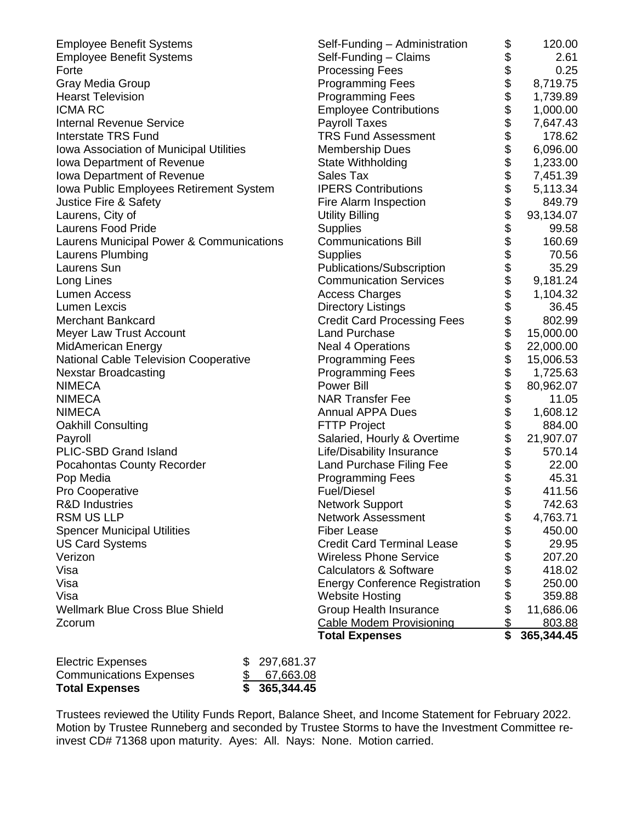|                                          | <b>Total Expenses</b>                 | \$                   | 365,344.45 |
|------------------------------------------|---------------------------------------|----------------------|------------|
| Zcorum                                   | <b>Cable Modem Provisioning</b>       | \$                   | 803.88     |
| <b>Wellmark Blue Cross Blue Shield</b>   | <b>Group Health Insurance</b>         |                      | 11,686.06  |
| Visa                                     | <b>Website Hosting</b>                |                      | 359.88     |
| Visa                                     | <b>Energy Conference Registration</b> | \$\$                 | 250.00     |
| Visa                                     | <b>Calculators &amp; Software</b>     | \$                   | 418.02     |
| Verizon                                  | <b>Wireless Phone Service</b>         | \$                   | 207.20     |
| <b>US Card Systems</b>                   | <b>Credit Card Terminal Lease</b>     | \$                   | 29.95      |
| <b>Spencer Municipal Utilities</b>       | <b>Fiber Lease</b>                    | \$                   | 450.00     |
| <b>RSM US LLP</b>                        | <b>Network Assessment</b>             | \$                   | 4,763.71   |
| <b>R&amp;D Industries</b>                | Network Support                       | \$                   | 742.63     |
| Pro Cooperative                          | <b>Fuel/Diesel</b>                    |                      | 411.56     |
| Pop Media                                | <b>Programming Fees</b>               |                      | 45.31      |
| Pocahontas County Recorder               | Land Purchase Filing Fee              | \$\$                 | 22.00      |
| PLIC-SBD Grand Island                    | Life/Disability Insurance             |                      | 570.14     |
| Payroll                                  | Salaried, Hourly & Overtime           | \$\$\$\$             | 21,907.07  |
| <b>Oakhill Consulting</b>                | <b>FTTP Project</b>                   |                      | 884.00     |
| <b>NIMECA</b>                            | <b>Annual APPA Dues</b>               |                      | 1,608.12   |
| <b>NIMECA</b>                            | <b>NAR Transfer Fee</b>               | \$                   | 11.05      |
| <b>NIMECA</b>                            | Power Bill                            |                      | 80,962.07  |
| <b>Nexstar Broadcasting</b>              | <b>Programming Fees</b>               |                      | 1,725.63   |
| National Cable Television Cooperative    | <b>Programming Fees</b>               |                      | 15,006.53  |
| <b>MidAmerican Energy</b>                | <b>Neal 4 Operations</b>              |                      | 22,000.00  |
| Meyer Law Trust Account                  | <b>Land Purchase</b>                  |                      | 15,000.00  |
| <b>Merchant Bankcard</b>                 | <b>Credit Card Processing Fees</b>    |                      | 802.99     |
| Lumen Lexcis                             | <b>Directory Listings</b>             |                      | 36.45      |
| <b>Lumen Access</b>                      | <b>Access Charges</b>                 |                      | 1,104.32   |
| Long Lines                               | <b>Communication Services</b>         | \$\$\$\$\$\$\$\$\$\$ | 9,181.24   |
| Laurens Sun                              | Publications/Subscription             |                      | 35.29      |
| Laurens Plumbing                         | <b>Supplies</b>                       |                      | 70.56      |
| Laurens Municipal Power & Communications | <b>Communications Bill</b>            |                      | 160.69     |
| <b>Laurens Food Pride</b>                | <b>Supplies</b>                       |                      | 99.58      |
| Laurens, City of                         | <b>Utility Billing</b>                |                      | 93,134.07  |
| Justice Fire & Safety                    | Fire Alarm Inspection                 |                      | 849.79     |
| Iowa Public Employees Retirement System  | <b>IPERS Contributions</b>            |                      | 5,113.34   |
| Iowa Department of Revenue               | Sales Tax                             |                      | 7,451.39   |
| Iowa Department of Revenue               | State Withholding                     |                      | 1,233.00   |
| Iowa Association of Municipal Utilities  | <b>Membership Dues</b>                |                      | 6,096.00   |
| <b>Interstate TRS Fund</b>               | <b>TRS Fund Assessment</b>            |                      | 178.62     |
| <b>Internal Revenue Service</b>          | Payroll Taxes                         |                      | 7,647.43   |
| <b>ICMA RC</b>                           | <b>Employee Contributions</b>         |                      | 1,000.00   |
| <b>Hearst Television</b>                 | <b>Programming Fees</b>               |                      | 1,739.89   |
| Gray Media Group                         | <b>Programming Fees</b>               |                      | 8,719.75   |
| Forte                                    | <b>Processing Fees</b>                |                      | 0.25       |
| <b>Employee Benefit Systems</b>          | Self-Funding - Claims                 | \$                   | 2.61       |
| <b>Employee Benefit Systems</b>          | Self-Funding - Administration         |                      | 120.00     |

| <b>Total Expenses</b>          | \$365,344.45  |
|--------------------------------|---------------|
| <b>Communications Expenses</b> | \$ 67,663.08  |
| <b>Electric Expenses</b>       | \$ 297,681.37 |

Trustees reviewed the Utility Funds Report, Balance Sheet, and Income Statement for February 2022. Motion by Trustee Runneberg and seconded by Trustee Storms to have the Investment Committee reinvest CD# 71368 upon maturity. Ayes: All. Nays: None. Motion carried.